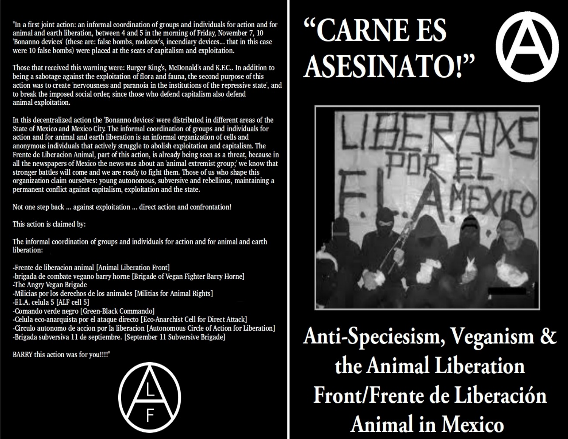"In a first joint action: an informal coordination of groups and individuals for action and for animal and earth liberation, between 4 and 5 in the morning of Friday, November 7, 10 'Bonanno devices' (these are: false bombs, molotov's, incendiary devices... that in this case were 10 false bombs) were placed at the seats of capitalism and exploitation.

Those that received this warning were: Burger King's, McDonald's and K.F.C.. In addition to being a sabotage against the exploitation of flora and fauna, the second purpose of this action was to create 'nervousness and paranoia in the institutions of the repressive state', and to break the imposed social order, since those who defend capitalism also defend animal exploitation.

In this decentralized action the 'Bonanno devices' were distributed in different areas of the State of Mexico and Mexico City. The informal coordination of groups and individuals for action and for animal and earth liberation is an informal organization of cells and anonymous individuals that actively struggle to abolish exploitation and capitalism. The Frente de Liberacion Animal, part of this action, is already being seen as a threat, because in all the newspapers of Mexico the news was about an 'animal extremist group;' we know that stronger battles will come and we are ready to fight them. Those of us who shape this organization claim ourselves: young autonomous, subversive and rebellious, maintaining a permanent conflict against capitalism, exploitation and the state.

Not one step back ... against exploitation ... direct action and confrontation!

This action is claimed by:

The informal coordination of groups and individuals for action and for animal and earth liberation:

-Frente de liberacion animal [Animal Liberation Front] -brigada de combate vegano barry horne [Brigade of Vegan Fighter Barry Horne] -The Angry Vegan Brigade -Milicias por los derechos de los animales [Militias for Animal Rights] -EL.A. celula 5 [ALF cell 5] -Comando verde negro [Green-Black Commando] -Celula eco-anarquista por el ataque directo [Eco-Anarchist Cell for Direct Attack] -Circulo autonomo de accion por la liberacion [Autonomous Circle of Action for Liberation] -Brigada subversiva 11 de septiembre. [September 11 Subversive Brigade]

BARRY this action was for you!!!!"



# "CARNE ES **ASESINATO!"**



Anti-Speciesism, Veganism & the Animal Liberation Front/Frente de Liberación **Animal in Mexico**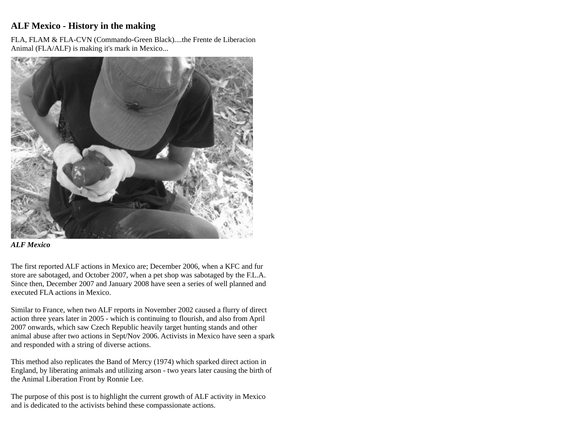# **ALF Mexico - History in the making**

FLA, FLAM & FLA-CVN (Commando-Green Black)....the Frente de Liberacion Animal (FLA/ALF) is making it's mark in Mexico...



#### *ALF Mexico*

The first reported ALF actions in Mexico are; December 2006, when a KFC and fur store are sabotaged, and October 2007, when a pet shop was sabotaged by the F.L.A. Since then, December 2007 and January 2008 have seen a series of well planned and executed FLA actions in Mexico.

Similar to France, when two ALF reports in November 2002 caused a flurry of direct action three years later in 2005 - which is continuing to flourish, and also from April 2007 onwards, which saw Czech Republic heavily target hunting stands and other animal abuse after two actions in Sept/Nov 2006. Activists in Mexico have seen a spark and responded with a string of diverse actions.

This method also replicates the Band of Mercy (1974) which sparked direct action in England, by liberating animals and utilizing arson - two years later causing the birth of the Animal Liberation Front by Ronnie Lee.

The purpose of this post is to highlight the current growth of ALF activity in Mexico and is dedicated to the activists behind these compassionate actions.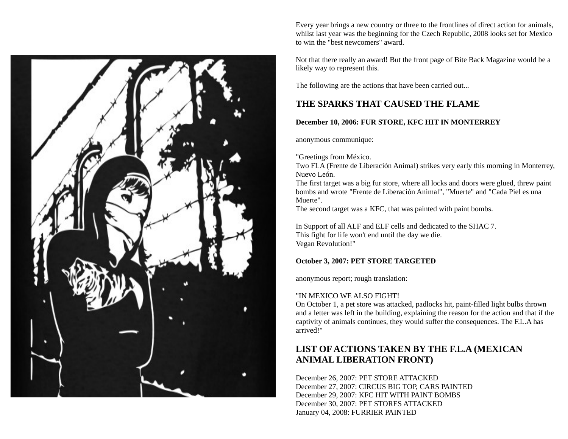

Every year brings a new country or three to the frontlines of direct action for animals, whilst last year was the beginning for the Czech Republic, 2008 looks set for Mexico to win the "best newcomers" award.

Not that there really an award! But the front page of Bite Back Magazine would be a likely way to represent this.

The following are the actions that have been carried out...

## **THE SPARKS THAT CAUSED THE FLAME**

### **December 10, 2006: FUR STORE, KFC HIT IN MONTERREY**

anonymous communique:

"Greetings from México.

Two FLA (Frente de Liberación Animal) strikes very early this morning in Monterrey, Nuevo León.

The first target was a big fur store, where all locks and doors were glued, threw paint bombs and wrote "Frente de Liberación Animal", "Muerte" and "Cada Piel es una Muerte".

The second target was a KFC, that was painted with paint bombs.

In Support of all ALF and ELF cells and dedicated to the SHAC 7. This fight for life won't end until the day we die. Vegan Revolution!"

### **October 3, 2007: PET STORE TARGETED**

anonymous report; rough translation:

#### "IN MEXICO WE ALSO FIGHT!

On October 1, a pet store was attacked, padlocks hit, paint-filled light bulbs thrown and a letter was left in the building, explaining the reason for the action and that if the captivity of animals continues, they would suffer the consequences. The F.L.A has arrived!"

# **LIST OF ACTIONS TAKEN BY THE F.L.A (MEXICAN ANIMAL LIBERATION FRONT)**

December 26, 2007: PET STORE ATTACKED December 27, 2007: CIRCUS BIG TOP, CARS PAINTED December 29, 2007: KFC HIT WITH PAINT BOMBS December 30, 2007: PET STORES ATTACKED January 04, 2008: FURRIER PAINTED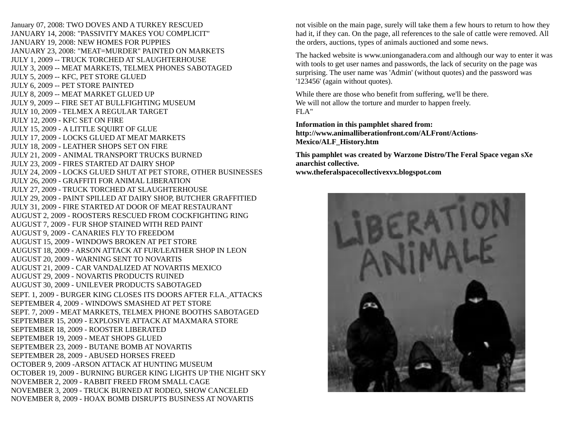January 07, 2008: TWO DOVES AND A TURKEY RESCUED JANUARY 14, 2008: "PASSIVITY MAKES YOU COMPLICIT" JANUARY 19, 2008: NEW HOMES FOR PUPPIES JANUARY 23, 2008: "MEAT=MURDER" PAINTED ON MARKETS JULY 1, 2009 -- TRUCK TORCHED AT SLAUGHTERHOUSE JULY 3, 2009 -- MEAT MARKETS, TELMEX PHONES SABOTAGED JULY 5, 2009 -- KFC, PET STORE GLUED JULY 6, 2009 -- PET STORE PAINTED JULY 8, 2009 -- MEAT MARKET GLUED UP JULY 9, 2009 -- FIRE SET AT BULLFIGHTING MUSEUM JULY 10, 2009 - TELMEX A REGULAR TARGET JULY 12, 2009 - KFC SET ON FIRE JULY 15, 2009 - A LITTLE SQUIRT OF GLUE JULY 17, 2009 - LOCKS GLUED AT MEAT MARKETS JULY 18, 2009 - LEATHER SHOPS SET ON FIRE JULY 21, 2009 - ANIMAL TRANSPORT TRUCKS BURNED JULY 23, 2009 - FIRES STARTED AT DAIRY SHOP JULY 24, 2009 - LOCKS GLUED SHUT AT PET STORE, OTHER BUSINESSES JULY 26, 2009 - GRAFFITI FOR ANIMAL LIBERATION JULY 27, 2009 - TRUCK TORCHED AT SLAUGHTERHOUSE JULY 29, 2009 - PAINT SPILLED AT DAIRY SHOP, BUTCHER GRAFFITIED JULY 31, 2009 - FIRE STARTED AT DOOR OF MEAT RESTAURANT AUGUST 2, 2009 - ROOSTERS RESCUED FROM COCKFIGHTING RING AUGUST 7, 2009 - FUR SHOP STAINED WITH RED PAINT AUGUST 9, 2009 - CANARIES FLY TO FREEDOM AUGUST 15, 2009 - WINDOWS BROKEN AT PET STORE AUGUST 18, 2009 - ARSON ATTACK AT FUR/LEATHER SHOP IN LEON AUGUST 20, 2009 - WARNING SENT TO NOVARTIS AUGUST 21, 2009 - CAR VANDALIZED AT NOVARTIS MEXICO AUGUST 29, 2009 - NOVARTIS PRODUCTS RUINED AUGUST 30, 2009 - UNILEVER PRODUCTS SABOTAGED SEPT. 1, 2009 - BURGER KING CLOSES ITS DOORS AFTER F.LA. ATTACKS SEPTEMBER 4, 2009 - WINDOWS SMASHED AT PET STORE SEPT. 7, 2009 - MEAT MARKETS, TELMEX PHONE BOOTHS SABOTAGED SEPTEMBER 15, 2009 - EXPLOSIVE ATTACK AT MAXMARA STORE SEPTEMBER 18, 2009 - ROOSTER LIBERATED SEPTEMBER 19, 2009 - MEAT SHOPS GLUED SEPTEMBER 23, 2009 - BUTANE BOMB AT NOVARTIS SEPTEMBER 28, 2009 - ABUSED HORSES FREED OCTOBER 9, 2009 -ARSON ATTACK AT HUNTING MUSEUM OCTOBER 19, 2009 - BURNING BURGER KING LIGHTS UP THE NIGHT SKY NOVEMBER 2, 2009 - RABBIT FREED FROM SMALL CAGE NOVEMBER 3, 2009 - TRUCK BURNED AT RODEO, SHOW CANCELED NOVEMBER 8, 2009 - HOAX BOMB DISRUPTS BUSINESS AT NOVARTIS

not visible on the main page, surely will take them a few hours to return to how they had it, if they can. On the page, all references to the sale of cattle were removed. All the orders, auctions, types of animals auctioned and some news.

The hacked website is www.unionganadera.com and although our way to enter it was with tools to get user names and passwords, the lack of security on the page was surprising. The user name was 'Admin' (without quotes) and the password was '123456' (again without quotes).

While there are those who benefit from suffering, we'll be there. We will not allow the torture and murder to happen freely. FLA"

**Information in this pamphlet shared from: http://www.animalliberationfront.com/ALFront/Actions-Mexico/ALF\_History.htm**

**This pamphlet was created by Warzone Distro/The Feral Space vegan sXe anarchist collective. www.theferalspacecollectivexvx.blogspot.com**

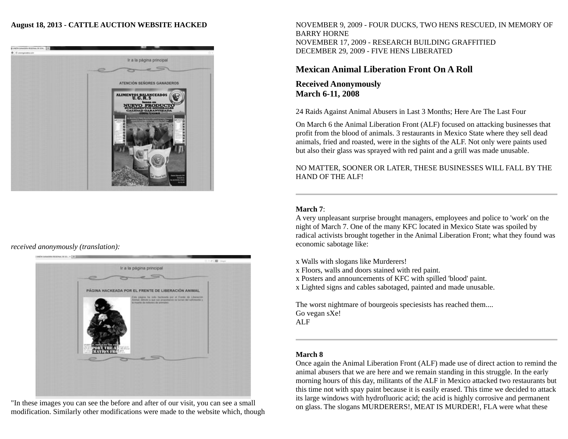#### **August 18, 2013 - CATTLE AUCTION WEBSITE HACKED**



## *received anonymously (translation):*



"In these images you can see the before and after of our visit, you can see a small modification. Similarly other modifications were made to the website which, though NOVEMBER 9, 2009 - FOUR DUCKS, TWO HENS RESCUED, IN MEMORY OF BARRY HORNE NOVEMBER 17, 2009 - RESEARCH BUILDING GRAFFITIED DECEMBER 29, 2009 - FIVE HENS LIBERATED

## **Mexican Animal Liberation Front On A Roll**

**Received Anonymously March 6-11, 2008** 

24 Raids Against Animal Abusers in Last 3 Months; Here Are The Last Four

On March 6 the Animal Liberation Front (ALF) focused on attacking businesses that profit from the blood of animals. 3 restaurants in Mexico State where they sell dead animals, fried and roasted, were in the sights of the ALF. Not only were paints used but also their glass was sprayed with red paint and a grill was made unusable.

NO MATTER, SOONER OR LATER, THESE BUSINESSES WILL FALL BY THE HAND OF THE ALF!

#### **March 7**:

A very unpleasant surprise brought managers, employees and police to 'work' on the night of March 7. One of the many KFC located in Mexico State was spoiled by radical activists brought together in the Animal Liberation Front; what they found was economic sabotage like:

x Walls with slogans like Murderers!

x Floors, walls and doors stained with red paint.

x Posters and announcements of KFC with spilled 'blood' paint.

x Lighted signs and cables sabotaged, painted and made unusable.

The worst nightmare of bourgeois speciesists has reached them.... Go vegan sXe! ALF

#### **March 8**

Once again the Animal Liberation Front (ALF) made use of direct action to remind the animal abusers that we are here and we remain standing in this struggle. In the early morning hours of this day, militants of the ALF in Mexico attacked two restaurants but this time not with spay paint because it is easily erased. This time we decided to attack its large windows with hydrofluoric acid; the acid is highly corrosive and permanent on glass. The slogans MURDERERS!, MEAT IS MURDER!, FLA were what these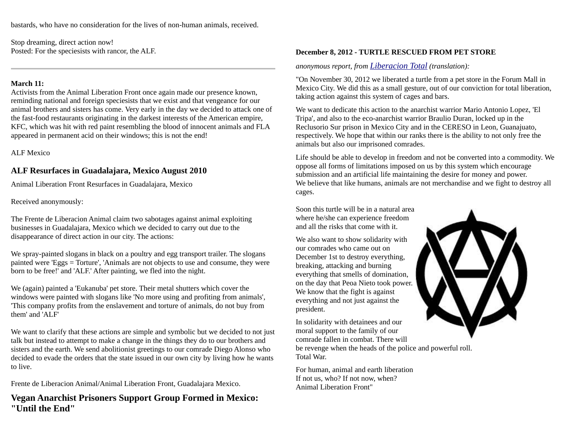bastards, who have no consideration for the lives of non-human animals, received.

Stop dreaming, direct action now! Posted: For the speciesists with rancor, the ALF.

#### **March 11:**

Activists from the Animal Liberation Front once again made our presence known, reminding national and foreign speciesists that we exist and that vengeance for our animal brothers and sisters has come. Very early in the day we decided to attack one of the fast-food restaurants originating in the darkest interests of the American empire, KFC, which was hit with red paint resembling the blood of innocent animals and FLA appeared in permanent acid on their windows; this is not the end!

ALF Mexico

## **ALF Resurfaces in Guadalajara, Mexico August 2010**

Animal Liberation Front Resurfaces in Guadalajara, Mexico

Received anonymously:

The Frente de Liberacion Animal claim two sabotages against animal exploiting businesses in Guadalajara, Mexico which we decided to carry out due to the disappearance of direct action in our city. The actions:

We spray-painted slogans in black on a poultry and egg transport trailer. The slogans painted were 'Eggs = Torture', 'Animals are not objects to use and consume, they were born to be free!' and 'ALF.' After painting, we fled into the night.

We (again) painted a 'Eukanuba' pet store. Their metal shutters which cover the windows were painted with slogans like 'No more using and profiting from animals', 'This company profits from the enslavement and torture of animals, do not buy from them' and 'ALF'

We want to clarify that these actions are simple and symbolic but we decided to not just talk but instead to attempt to make a change in the things they do to our brothers and sisters and the earth. We send abolitionist greetings to our comrade Diego Alonso who decided to evade the orders that the state issued in our own city by living how he wants to live.

Frente de Liberacion Animal/Animal Liberation Front, Guadalajara Mexico.

**Vegan Anarchist Prisoners Support Group Formed in Mexico: "Until the End"**

## **December 8, 2012 - TURTLE RESCUED FROM PET STORE**

*anonymous report, from [Liberacion Total](http://liberaciontotal.lahaine.org/) (translation):*

"On November 30, 2012 we liberated a turtle from a pet store in the Forum Mall in Mexico City. We did this as a small gesture, out of our conviction for total liberation, taking action against this system of cages and bars.

We want to dedicate this action to the anarchist warrior Mario Antonio Lopez, 'El Tripa', and also to the eco-anarchist warrior Braulio Duran, locked up in the Reclusorio Sur prison in Mexico City and in the CERESO in Leon, Guanajuato, respectively. We hope that within our ranks there is the ability to not only free the animals but also our imprisoned comrades.

Life should be able to develop in freedom and not be converted into a commodity. We oppose all forms of limitations imposed on us by this system which encourage submission and an artificial life maintaining the desire for money and power. We believe that like humans, animals are not merchandise and we fight to destroy all cages.

Soon this turtle will be in a natural area where he/she can experience freedom and all the risks that come with it.

We also want to show solidarity with our comrades who came out on December 1st to destroy everything, breaking, attacking and burning everything that smells of domination, on the day that Peoa Nieto took power. We know that the fight is against everything and not just against the president.

In solidarity with detainees and our moral support to the family of our comrade fallen in combat. There will be revenge when the heads of the police and powerful roll. Total War.

For human, animal and earth liberation If not us, who? If not now, when? Animal Liberation Front"

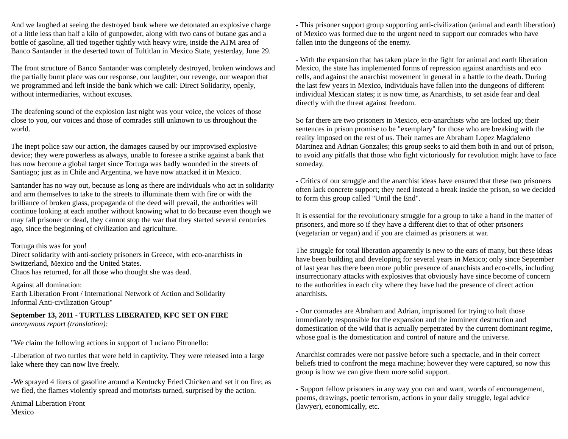And we laughed at seeing the destroyed bank where we detonated an explosive charge of a little less than half a kilo of gunpowder, along with two cans of butane gas and a bottle of gasoline, all tied together tightly with heavy wire, inside the ATM area of Banco Santander in the deserted town of Tultitlan in Mexico State, yesterday, June 29.

The front structure of Banco Santander was completely destroyed, broken windows and the partially burnt place was our response, our laughter, our revenge, our weapon that we programmed and left inside the bank which we call: Direct Solidarity, openly, without intermediaries, without excuses.

The deafening sound of the explosion last night was your voice, the voices of those close to you, our voices and those of comrades still unknown to us throughout the world.

The inept police saw our action, the damages caused by our improvised explosive device; they were powerless as always, unable to foresee a strike against a bank that has now become a global target since Tortuga was badly wounded in the streets of Santiago; just as in Chile and Argentina, we have now attacked it in Mexico.

Santander has no way out, because as long as there are individuals who act in solidarity and arm themselves to take to the streets to illuminate them with fire or with the brilliance of broken glass, propaganda of the deed will prevail, the authorities will continue looking at each another without knowing what to do because even though we may fall prisoner or dead, they cannot stop the war that they started several centuries ago, since the beginning of civilization and agriculture.

Tortuga this was for you!

Direct solidarity with anti-society prisoners in Greece, with eco-anarchists in Switzerland, Mexico and the United States. Chaos has returned, for all those who thought she was dead.

Against all domination: Earth Liberation Front / International Network of Action and Solidarity Informal Anti-civilization Group"

**September 13, 2011 - TURTLES LIBERATED, KFC SET ON FIRE**  *anonymous report (translation):*

"We claim the following actions in support of Luciano Pitronello:

-Liberation of two turtles that were held in captivity. They were released into a large lake where they can now live freely.

-We sprayed 4 liters of gasoline around a Kentucky Fried Chicken and set it on fire; as we fled, the flames violently spread and motorists turned, surprised by the action.

Animal Liberation Front Mexico

- This prisoner support group supporting anti-civilization (animal and earth liberation) of Mexico was formed due to the urgent need to support our comrades who have fallen into the dungeons of the enemy.

- With the expansion that has taken place in the fight for animal and earth liberation Mexico, the state has implemented forms of repression against anarchists and eco cells, and against the anarchist movement in general in a battle to the death. During the last few years in Mexico, individuals have fallen into the dungeons of different individual Mexican states; it is now time, as Anarchists, to set aside fear and deal directly with the threat against freedom.

So far there are two prisoners in Mexico, eco-anarchists who are locked up; their sentences in prison promise to be "exemplary" for those who are breaking with the reality imposed on the rest of us. Their names are Abraham Lopez Magdaleno Martinez and Adrian Gonzales; this group seeks to aid them both in and out of prison, to avoid any pitfalls that those who fight victoriously for revolution might have to face someday.

- Critics of our struggle and the anarchist ideas have ensured that these two prisoners often lack concrete support; they need instead a break inside the prison, so we decided to form this group called "Until the End".

It is essential for the revolutionary struggle for a group to take a hand in the matter of prisoners, and more so if they have a different diet to that of other prisoners (vegetarian or vegan) and if you are claimed as prisoners at war.

The struggle for total liberation apparently is new to the ears of many, but these ideas have been building and developing for several years in Mexico; only since September of last year has there been more public presence of anarchists and eco-cells, including insurrectionary attacks with explosives that obviously have since become of concern to the authorities in each city where they have had the presence of direct action anarchists.

- Our comrades are Abraham and Adrian, imprisoned for trying to halt those immediately responsible for the expansion and the imminent destruction and domestication of the wild that is actually perpetrated by the current dominant regime, whose goal is the domestication and control of nature and the universe.

Anarchist comrades were not passive before such a spectacle, and in their correct beliefs tried to confront the mega machine; however they were captured, so now this group is how we can give them more solid support.

- Support fellow prisoners in any way you can and want, words of encouragement, poems, drawings, poetic terrorism, actions in your daily struggle, legal advice (lawyer), economically, etc.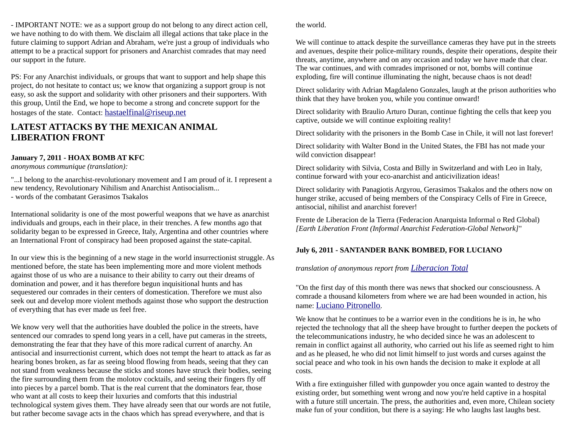- IMPORTANT NOTE: we as a support group do not belong to any direct action cell, we have nothing to do with them. We disclaim all illegal actions that take place in the future claiming to support Adrian and Abraham, we're just a group of individuals who attempt to be a practical support for prisoners and Anarchist comrades that may need our support in the future.

PS: For any Anarchist individuals, or groups that want to support and help shape this project, do not hesitate to contact us; we know that organizing a support group is not easy, so ask the support and solidarity with other prisoners and their supporters. With this group, Until the End, we hope to become a strong and concrete support for the hostages of the state. Contact: [hastaelfinal@riseup.net](mailto:hastaelfinal@riseup.net)

## **LATEST ATTACKS BY THE MEXICAN ANIMAL LIBERATION FRONT**

### **January 7, 2011 - HOAX BOMB AT KFC**

*anonymous communique (translation):*

"...I belong to the anarchist-revolutionary movement and I am proud of it. I represent a new tendency, Revolutionary Nihilism and Anarchist Antisocialism... - words of the combatant Gerasimos Tsakalos

International solidarity is one of the most powerful weapons that we have as anarchist individuals and groups, each in their place, in their trenches. A few months ago that solidarity began to be expressed in Greece, Italy, Argentina and other countries where an International Front of conspiracy had been proposed against the state-capital.

In our view this is the beginning of a new stage in the world insurrectionist struggle. As mentioned before, the state has been implementing more and more violent methods against those of us who are a nuisance to their ability to carry out their dreams of domination and power, and it has therefore begun inquisitional hunts and has sequestered our comrades in their centers of domestication. Therefore we must also seek out and develop more violent methods against those who support the destruction of everything that has ever made us feel free.

We know very well that the authorities have doubled the police in the streets, have sentenced our comrades to spend long years in a cell, have put cameras in the streets, demonstrating the fear that they have of this more radical current of anarchy. An antisocial and insurrectionist current, which does not tempt the heart to attack as far as hearing bones broken, as far as seeing blood flowing from heads, seeing that they can not stand from weakness because the sticks and stones have struck their bodies, seeing the fire surrounding them from the molotov cocktails, and seeing their fingers fly off into pieces by a parcel bomb. That is the real current that the dominators fear, those who want at all costs to keep their luxuries and comforts that this industrial technological system gives them. They have already seen that our words are not futile, but rather become savage acts in the chaos which has spread everywhere, and that is

the world.

We will continue to attack despite the surveillance cameras they have put in the streets and avenues, despite their police-military rounds, despite their operations, despite their threats, anytime, anywhere and on any occasion and today we have made that clear. The war continues, and with comrades imprisoned or not, bombs will continue exploding, fire will continue illuminating the night, because chaos is not dead!

Direct solidarity with Adrian Magdaleno Gonzales, laugh at the prison authorities who think that they have broken you, while you continue onward!

Direct solidarity with Braulio Arturo Duran, continue fighting the cells that keep you captive, outside we will continue exploiting reality!

Direct solidarity with the prisoners in the Bomb Case in Chile, it will not last forever!

Direct solidarity with Walter Bond in the United States, the FBI has not made your wild conviction disappear!

Direct solidarity with Silvia, Costa and Billy in Switzerland and with Leo in Italy, continue forward with your eco-anarchist and anticivilization ideas!

Direct solidarity with Panagiotis Argyrou, Gerasimos Tsakalos and the others now on hunger strike, accused of being members of the Conspiracy Cells of Fire in Greece, antisocial, nihilist and anarchist forever!

Frente de Liberacion de la Tierra (Federacion Anarquista Informal o Red Global) *[Earth Liberation Front (Informal Anarchist Federation-Global Network]*"

## **July 6, 2011 - SANTANDER BANK BOMBED, FOR LUCIANO**

*translation of anonymous report from [Liberacion Total](http://liberaciontotal.lahaine.org/)*

"On the first day of this month there was news that shocked our consciousness. A comrade a thousand kilometers from where we are had been wounded in action, his name: [Luciano Pitronello](http://www.directaction.info/prison_tortuga.html).

We know that he continues to be a warrior even in the conditions he is in, he who rejected the technology that all the sheep have brought to further deepen the pockets of the telecommunications industry, he who decided since he was an adolescent to remain in conflict against all authority, who carried out his life as seemed right to him and as he pleased, he who did not limit himself to just words and curses against the social peace and who took in his own hands the decision to make it explode at all costs.

With a fire extinguisher filled with gunpowder you once again wanted to destroy the existing order, but something went wrong and now you're held captive in a hospital with a future still uncertain. The press, the authorities and, even more, Chilean society make fun of your condition, but there is a saying: He who laughs last laughs best.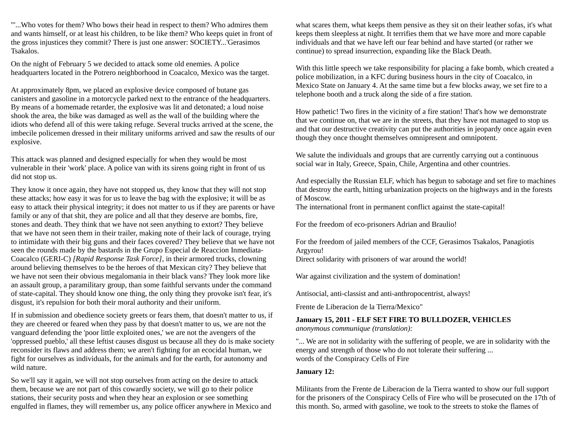"'...Who votes for them? Who bows their head in respect to them? Who admires them and wants himself, or at least his children, to be like them? Who keeps quiet in front of the gross injustices they commit? There is just one answer: SOCIETY...'Gerasimos Tsakalos.

On the night of February 5 we decided to attack some old enemies. A police headquarters located in the Potrero neighborhood in Coacalco, Mexico was the target.

At approximately 8pm, we placed an explosive device composed of butane gas canisters and gasoline in a motorcycle parked next to the entrance of the headquarters. By means of a homemade retarder, the explosive was lit and detonated; a loud noise shook the area, the bike was damaged as well as the wall of the building where the idiots who defend all of this were taking refuge. Several trucks arrived at the scene, the imbecile policemen dressed in their military uniforms arrived and saw the results of our explosive.

This attack was planned and designed especially for when they would be most vulnerable in their 'work' place. A police van with its sirens going right in front of us did not stop us.

They know it once again, they have not stopped us, they know that they will not stop these attacks; how easy it was for us to leave the bag with the explosive; it will be as easy to attack their physical integrity; it does not matter to us if they are parents or have family or any of that shit, they are police and all that they deserve are bombs, fire, stones and death. They think that we have not seen anything to extort? They believe that we have not seen them in their trailer, making note of their lack of courage, trying to intimidate with their big guns and their faces covered? They believe that we have not seen the rounds made by the bastards in the Grupo Especial de Reaccion Inmediata-Coacalco (GERI-C) *[Rapid Response Task Force]*, in their armored trucks, clowning around believing themselves to be the heroes of that Mexican city? They believe that we have not seen their obvious megalomania in their black vans? They look more like an assault group, a paramilitary group, than some faithful servants under the command of state-capital. They should know one thing, the only thing they provoke isn't fear, it's disgust, it's repulsion for both their moral authority and their uniform.

If in submission and obedience society greets or fears them, that doesn't matter to us, if they are cheered or feared when they pass by that doesn't matter to us, we are not the vanguard defending the 'poor little exploited ones,' we are not the avengers of the 'oppressed pueblo,' all these leftist causes disgust us because all they do is make society reconsider its flaws and address them; we aren't fighting for an ecocidal human, we fight for ourselves as individuals, for the animals and for the earth, for autonomy and wild nature.

So we'll say it again, we will not stop ourselves from acting on the desire to attack them, because we are not part of this cowardly society, we will go to their police stations, their security posts and when they hear an explosion or see something engulfed in flames, they will remember us, any police officer anywhere in Mexico and what scares them, what keeps them pensive as they sit on their leather sofas, it's what keeps them sleepless at night. It terrifies them that we have more and more capable individuals and that we have left our fear behind and have started (or rather we continue) to spread insurrection, expanding like the Black Death.

With this little speech we take responsibility for placing a fake bomb, which created a police mobilization, in a KFC during business hours in the city of Coacalco, in Mexico State on January 4. At the same time but a few blocks away, we set fire to a telephone booth and a truck along the side of a fire station.

How pathetic! Two fires in the vicinity of a fire station! That's how we demonstrate that we continue on, that we are in the streets, that they have not managed to stop us and that our destructive creativity can put the authorities in jeopardy once again even though they once thought themselves omnipresent and omnipotent.

We salute the individuals and groups that are currently carrying out a continuous social war in Italy, Greece, Spain, Chile, Argentina and other countries.

And especially the Russian ELF, which has begun to sabotage and set fire to machines that destroy the earth, hitting urbanization projects on the highways and in the forests of Moscow.

The international front in permanent conflict against the state-capital!

For the freedom of eco-prisoners Adrian and Braulio!

For the freedom of jailed members of the CCF, Gerasimos Tsakalos, Panagiotis Argyrou!

Direct solidarity with prisoners of war around the world!

War against civilization and the system of domination!

Antisocial, anti-classist and anti-anthropocentrist, always!

Frente de Liberacion de la Tierra/Mexico"

**January 15, 2011 - ELF SET FIRE TO BULLDOZER, VEHICLES**  *anonymous communique (translation):*

"... We are not in solidarity with the suffering of people, we are in solidarity with the energy and strength of those who do not tolerate their suffering ... words of the Conspiracy Cells of Fire

#### **January 12:**

Militants from the Frente de Liberacion de la Tierra wanted to show our full support for the prisoners of the Conspiracy Cells of Fire who will be prosecuted on the 17th of this month. So, armed with gasoline, we took to the streets to stoke the flames of